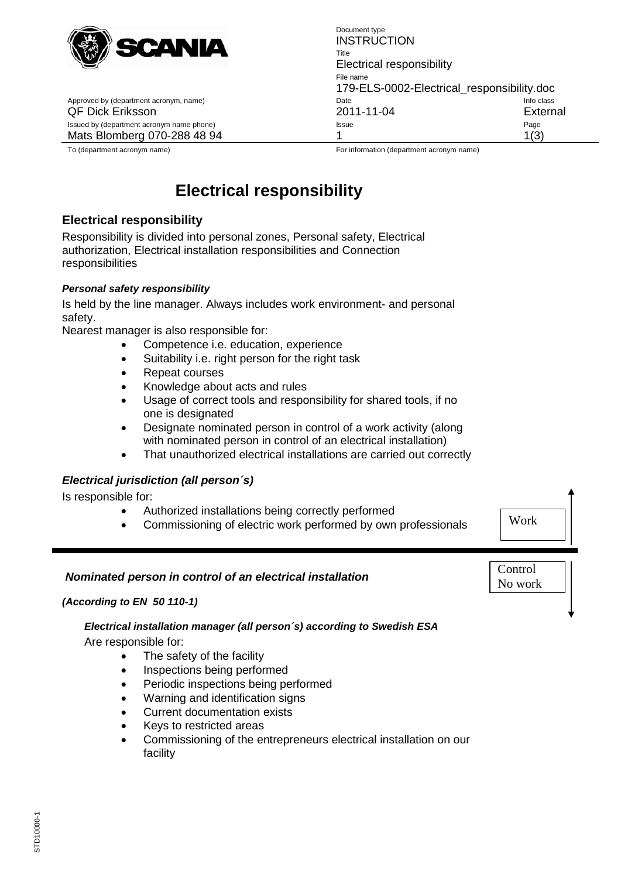

Approved by (department acronym, name) date Info contains the International Date Issued by (department acronym name phone) **Issue** Page Page Page Page Page

Document type **INSTRUCTION** Title Electrical responsibility File name 179-ELS-0002-Electrical\_responsibility.doc QF Dick Eriksson 2011-11-04 External Mats Blomberg 070-288 48 94 1 1(3)

To (department acronym name) For information (department acronym name)

# **Electrical responsibility**

# **Electrical responsibility**

Responsibility is divided into personal zones, Personal safety, Electrical authorization, Electrical installation responsibilities and Connection responsibilities

## *Personal safety responsibility*

Is held by the line manager. Always includes work environment- and personal safety.

Nearest manager is also responsible for:

- Competence i.e. education, experience
- Suitability i.e. right person for the right task
- Repeat courses
- Knowledge about acts and rules
- Usage of correct tools and responsibility for shared tools, if no one is designated
- Designate nominated person in control of a work activity (along with nominated person in control of an electrical installation)
- That unauthorized electrical installations are carried out correctly

# *Electrical jurisdiction (all person´s)*

Is responsible for:

- Authorized installations being correctly performed
- Commissioning of electric work performed by own professionals

Work

**Control** No work

# *Nominated person in control of an electrical installation*

#### *(According to EN 50 110-1)*

# *Electrical installation manager (all person´s) according to Swedish ESA*

Are responsible for:

- The safety of the facility
- Inspections being performed
- Periodic inspections being performed
- Warning and identification signs
- Current documentation exists
- Keys to restricted areas
- Commissioning of the entrepreneurs electrical installation on our facility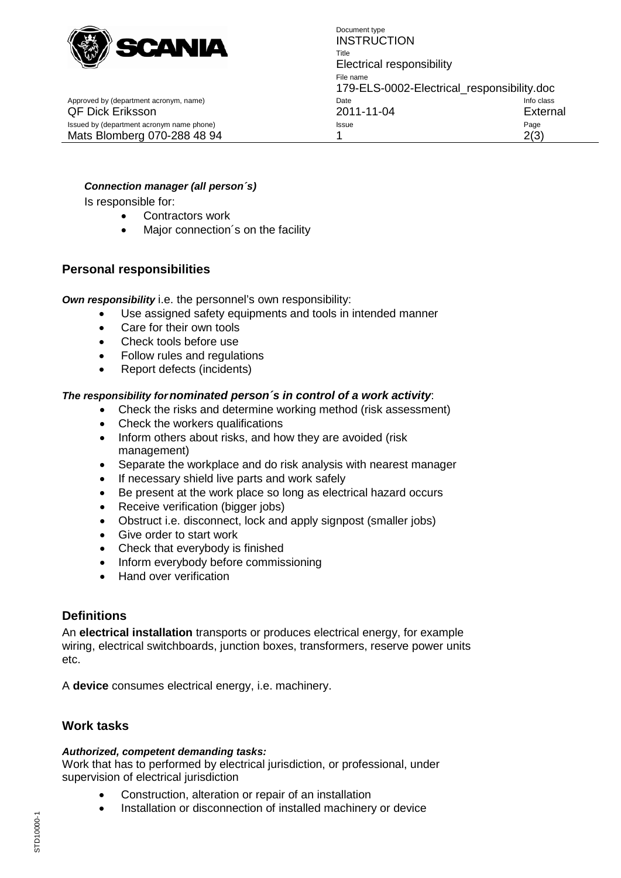

Approved by (department acronym, name) department acronomic control class of class Date

Document type **INSTRUCTION** Title Electrical responsibility File name 179-ELS-0002-Electrical\_responsibility.doc QF Dick Eriksson 2011-11-04 External Issued by (department acronym name phone) example according to the state of the Page Page Page Mats Blomberg 070-288 48 94 1 1 2(3)

## *Connection manager (all person´s)*

Is responsible for:

- Contractors work
- Major connection's on the facility

## **Personal responsibilities**

*Own responsibility* i.e. the personnel's own responsibility:

- Use assigned safety equipments and tools in intended manner
- Care for their own tools
- Check tools before use
- Follow rules and regulations
- Report defects (incidents)

#### *The responsibility fornominated person´s in control of a work activity*:

- Check the risks and determine working method (risk assessment)
- Check the workers qualifications
- Inform others about risks, and how they are avoided (risk management)
- Separate the workplace and do risk analysis with nearest manager
- If necessary shield live parts and work safely
- Be present at the work place so long as electrical hazard occurs
- Receive verification (bigger jobs)
- Obstruct i.e. disconnect, lock and apply signpost (smaller jobs)
- Give order to start work
- Check that everybody is finished
- Inform everybody before commissioning
- Hand over verification

# **Definitions**

An **electrical installation** transports or produces electrical energy, for example wiring, electrical switchboards, junction boxes, transformers, reserve power units etc.

A **device** consumes electrical energy, i.e. machinery.

# **Work tasks**

#### *Authorized, competent demanding tasks:*

Work that has to performed by electrical jurisdiction, or professional, under supervision of electrical jurisdiction

- Construction, alteration or repair of an installation
- Installation or disconnection of installed machinery or device